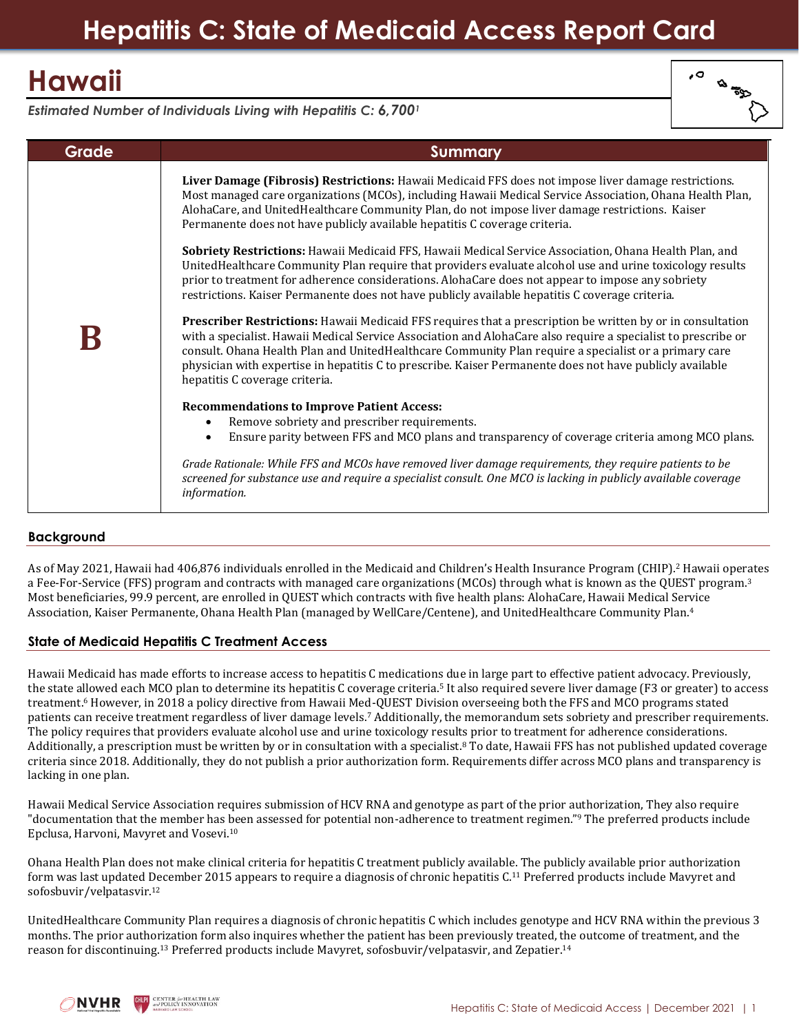# **Hawaii**

| o, | ぬ<br>$\frac{1}{20}$<br>í. |
|----|---------------------------|
|    |                           |

*Estimated Number of Individuals Living with Hepatitis C: 6,700<sup>1</sup>*

| Grade | Summary                                                                                                                                                                                                                                                                                                                                                                                                                                                                            |
|-------|------------------------------------------------------------------------------------------------------------------------------------------------------------------------------------------------------------------------------------------------------------------------------------------------------------------------------------------------------------------------------------------------------------------------------------------------------------------------------------|
|       | Liver Damage (Fibrosis) Restrictions: Hawaii Medicaid FFS does not impose liver damage restrictions.<br>Most managed care organizations (MCOs), including Hawaii Medical Service Association, Ohana Health Plan,<br>AlohaCare, and UnitedHealthcare Community Plan, do not impose liver damage restrictions. Kaiser<br>Permanente does not have publicly available hepatitis C coverage criteria.                                                                                  |
|       | Sobriety Restrictions: Hawaii Medicaid FFS, Hawaii Medical Service Association, Ohana Health Plan, and<br>UnitedHealthcare Community Plan require that providers evaluate alcohol use and urine toxicology results<br>prior to treatment for adherence considerations. AlohaCare does not appear to impose any sobriety<br>restrictions. Kaiser Permanente does not have publicly available hepatitis C coverage criteria.                                                         |
|       | Prescriber Restrictions: Hawaii Medicaid FFS requires that a prescription be written by or in consultation<br>with a specialist. Hawaii Medical Service Association and AlohaCare also require a specialist to prescribe or<br>consult. Ohana Health Plan and UnitedHealthcare Community Plan require a specialist or a primary care<br>physician with expertise in hepatitis C to prescribe. Kaiser Permanente does not have publicly available<br>hepatitis C coverage criteria. |
|       | <b>Recommendations to Improve Patient Access:</b>                                                                                                                                                                                                                                                                                                                                                                                                                                  |
|       | Remove sobriety and prescriber requirements.<br>$\bullet$                                                                                                                                                                                                                                                                                                                                                                                                                          |
|       | Ensure parity between FFS and MCO plans and transparency of coverage criteria among MCO plans.                                                                                                                                                                                                                                                                                                                                                                                     |
|       | Grade Rationale: While FFS and MCOs have removed liver damage requirements, they require patients to be<br>screened for substance use and require a specialist consult. One MCO is lacking in publicly available coverage<br>information.                                                                                                                                                                                                                                          |

# **Background**

As of May 2021, Hawaii had 406,876 individuals enrolled in the Medicaid and Children's Health Insurance Program (CHIP).<sup>2</sup> Hawaii operates a Fee-For-Service (FFS) program and contracts with managed care organizations (MCOs) through what is known as the QUEST program.<sup>3</sup> Most beneficiaries, 99.9 percent, are enrolled in QUEST which contracts with five health plans: AlohaCare, Hawaii Medical Service Association, Kaiser Permanente, Ohana Health Plan (managed by WellCare/Centene), and UnitedHealthcare Community Plan.<sup>4</sup>

# **State of Medicaid Hepatitis C Treatment Access**

Hawaii Medicaid has made efforts to increase access to hepatitis C medications due in large part to effective patient advocacy. Previously, the state allowed each MCO plan to determine its hepatitis C coverage criteria.<sup>5</sup> It also required severe liver damage (F3 or greater) to access treatment.<sup>6</sup> However, in 2018 a policy directive from Hawaii Med-QUEST Division overseeing both the FFS and MCO programs stated patients can receive treatment regardless of liver damage levels.<sup>7</sup> Additionally, the memorandum sets sobriety and prescriber requirements. The policy requires that providers evaluate alcohol use and urine toxicology results prior to treatment for adherence considerations. Additionally, a prescription must be written by or in consultation with a specialist.<sup>8</sup> To date, Hawaii FFS has not published updated coverage criteria since 2018. Additionally, they do not publish a prior authorization form. Requirements differ across MCO plans and transparency is lacking in one plan.

Hawaii Medical Service Association requires submission of HCV RNA and genotype as part of the prior authorization, They also require "documentation that the member has been assessed for potential non-adherence to treatment regimen."<sup>9</sup> The preferred products include Epclusa, Harvoni, Mavyret and Vosevi. 10

Ohana Health Plan does not make clinical criteria for hepatitis C treatment publicly available. The publicly available prior authorization form was last updated December 2015 appears to require a diagnosis of chronic hepatitis C.<sup>11</sup> Preferred products include Mavyret and sofosbuvir/velpatasvir.<sup>12</sup>

UnitedHealthcare Community Plan requires a diagnosis of chronic hepatitis C which includes genotype and HCV RNA within the previous 3 months. The prior authorization form also inquires whether the patient has been previously treated, the outcome of treatment, and the reason for discontinuing.<sup>13</sup> Preferred products include Mavyret, sofosbuvir/velpatasvir, and Zepatier.<sup>14</sup>

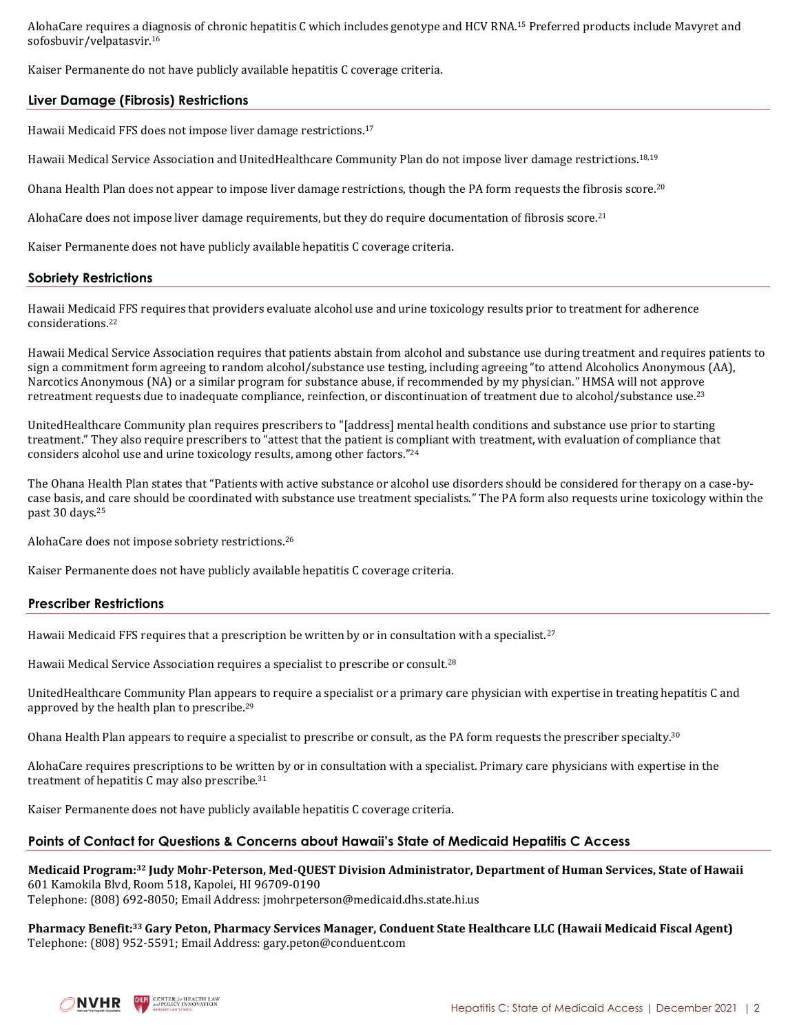AlohaCare requires a diagnosis of chronic hepatitis C which includes genotype and HCV RNA.<sup>15</sup> Preferred products include Mavyret and sofosbuvir/velpatasvir.<sup>16</sup>

Kaiser Permanente do not have publicly available hepatitis C coverage criteria.

## **Liver Damage (Fibrosis) Restrictions**

Hawaii Medicaid FFS does not impose liver damage restrictions.<sup>17</sup>

Hawaii Medical Service Association and UnitedHealthcare Community Plan do not impose liver damage restrictions.<sup>18,19</sup>

Ohana Health Plan does not appear to impose liver damage restrictions, though the PA form requests the fibrosis score.<sup>20</sup>

AlohaCare does not impose liver damage requirements, but they do require documentation of fibrosis score.<sup>21</sup>

Kaiser Permanente does not have publicly available hepatitis C coverage criteria.

## **Sobriety Restrictions**

Hawaii Medicaid FFS requires that providers evaluate alcohol use and urine toxicology results prior to treatment for adherence considerations.<sup>22</sup>

Hawaii Medical Service Association requires that patients abstain from alcohol and substance use during treatment and requires patients to sign a commitment form agreeing to random alcohol/substance use testing, including agreeing "to attend Alcoholics Anonymous (AA), Narcotics Anonymous (NA) or a similar program for substance abuse, if recommended by my physician." HMSA will not approve retreatment requests due to inadequate compliance, reinfection, or discontinuation of treatment due to alcohol/substance use.<sup>23</sup>

UnitedHealthcare Community plan requires prescribers to "[address] mental health conditions and substance use prior to starting treatment." They also require prescribers to "attest that the patient is compliant with treatment, with evaluation of compliance that considers alcohol use and urine toxicology results, among other factors."<sup>24</sup>

The Ohana Health Plan states that "Patients with active substance or alcohol use disorders should be considered for therapy on a case-bycase basis, and care should be coordinated with substance use treatment specialists." The PA form also requests urine toxicology within the past 30 days.<sup>25</sup>

AlohaCare does not impose sobriety restrictions.<sup>26</sup>

Kaiser Permanente does not have publicly available hepatitis C coverage criteria.

## **Prescriber Restrictions**

Hawaii Medicaid FFS requires that a prescription be written by or in consultation with a specialist.<sup>27</sup>

Hawaii Medical Service Association requires a specialist to prescribe or consult.<sup>28</sup>

UnitedHealthcare Community Plan appears to require a specialist or a primary care physician with expertise in treating hepatitis C and approved by the health plan to prescribe.<sup>29</sup>

Ohana Health Plan appears to require a specialist to prescribe or consult, as the PA form requests the prescriber specialty.<sup>30</sup>

AlohaCare requires prescriptions to be written by or in consultation with a specialist. Primary care physicians with expertise in the treatment of hepatitis C may also prescribe.<sup>31</sup>

Kaiser Permanente does not have publicly available hepatitis C coverage criteria.

## **Points of Contact for Questions & Concerns about Hawaii's State of Medicaid Hepatitis C Access**

**Medicaid Program: <sup>32</sup> Judy Mohr-Peterson, Med-QUEST Division Administrator, Department of Human Services, State of Hawaii** 601 Kamokila Blvd, Room 518**,** Kapolei, HI 96709‐0190 Telephone: (808) 692‐8050; Email Address: [jmohrpeterson@medicaid.dhs.state.hi.us](mailto:jmohrpeterson@medicaid.dhs.state.hi.us)

**Pharmacy Benefit:<sup>33</sup> Gary Peton, Pharmacy Services Manager, Conduent State Healthcare LLC (Hawaii Medicaid Fiscal Agent)** Telephone: (808) 952-5591; Email Address: gary.peton@conduent.com